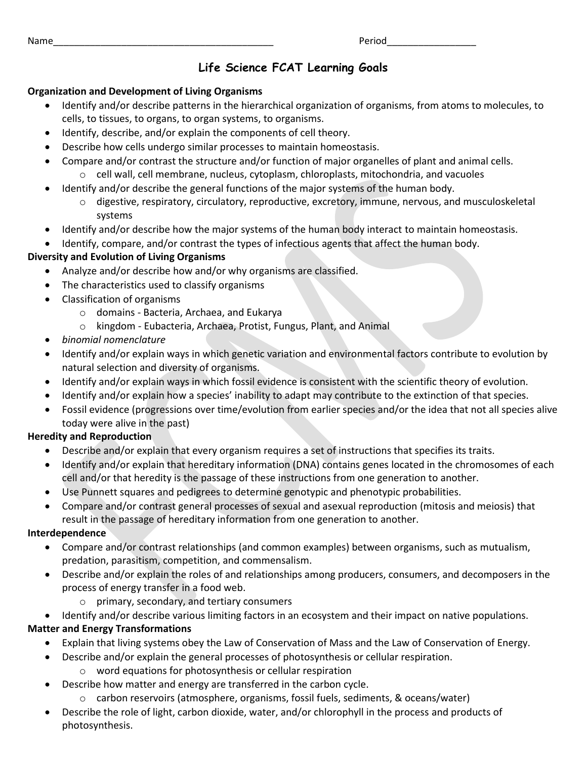Name\_\_\_\_\_\_\_\_\_\_\_\_\_\_\_\_\_\_\_\_\_\_\_\_\_\_\_\_\_\_\_\_\_\_\_\_\_\_\_\_\_\_ Period\_\_\_\_\_\_\_\_\_\_\_\_\_\_\_\_\_

## **Life Science FCAT Learning Goals**

### **Organization and Development of Living Organisms**

- Identify and/or describe patterns in the hierarchical organization of organisms, from atoms to molecules, to cells, to tissues, to organs, to organ systems, to organisms.
- Identify, describe, and/or explain the components of cell theory.
- Describe how cells undergo similar processes to maintain homeostasis.
- Compare and/or contrast the structure and/or function of major organelles of plant and animal cells.  $\circ$  cell wall, cell membrane, nucleus, cytoplasm, chloroplasts, mitochondria, and vacuoles
- Identify and/or describe the general functions of the major systems of the human body.
	- o digestive, respiratory, circulatory, reproductive, excretory, immune, nervous, and musculoskeletal systems
- Identify and/or describe how the major systems of the human body interact to maintain homeostasis.
- Identify, compare, and/or contrast the types of infectious agents that affect the human body.

## **Diversity and Evolution of Living Organisms**

- Analyze and/or describe how and/or why organisms are classified.
- The characteristics used to classify organisms
- Classification of organisms
	- o domains Bacteria, Archaea, and Eukarya
	- o kingdom Eubacteria, Archaea, Protist, Fungus, Plant, and Animal
- *binomial nomenclature*
- Identify and/or explain ways in which genetic variation and environmental factors contribute to evolution by natural selection and diversity of organisms.
- Identify and/or explain ways in which fossil evidence is consistent with the scientific theory of evolution.
- Identify and/or explain how a species' inability to adapt may contribute to the extinction of that species.
- Fossil evidence (progressions over time/evolution from earlier species and/or the idea that not all species alive today were alive in the past)

## **Heredity and Reproduction**

- Describe and/or explain that every organism requires a set of instructions that specifies its traits.
- Identify and/or explain that hereditary information (DNA) contains genes located in the chromosomes of each cell and/or that heredity is the passage of these instructions from one generation to another.
- Use Punnett squares and pedigrees to determine genotypic and phenotypic probabilities.
- Compare and/or contrast general processes of sexual and asexual reproduction (mitosis and meiosis) that result in the passage of hereditary information from one generation to another.

## **Interdependence**

- Compare and/or contrast relationships (and common examples) between organisms, such as mutualism, predation, parasitism, competition, and commensalism.
- Describe and/or explain the roles of and relationships among producers, consumers, and decomposers in the process of energy transfer in a food web.
	- o primary, secondary, and tertiary consumers
- Identify and/or describe various limiting factors in an ecosystem and their impact on native populations.

## **Matter and Energy Transformations**

- Explain that living systems obey the Law of Conservation of Mass and the Law of Conservation of Energy.
- Describe and/or explain the general processes of photosynthesis or cellular respiration.
	- o word equations for photosynthesis or cellular respiration
- Describe how matter and energy are transferred in the carbon cycle.
	- o carbon reservoirs (atmosphere, organisms, fossil fuels, sediments, & oceans/water)
- Describe the role of light, carbon dioxide, water, and/or chlorophyll in the process and products of photosynthesis.